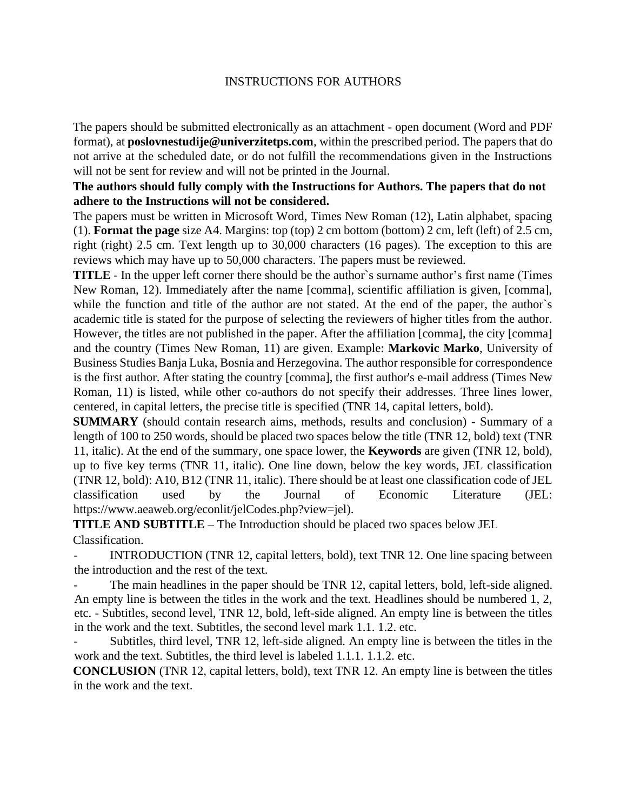#### INSTRUCTIONS FOR AUTHORS

The papers should be submitted electronically as an attachment - open document (Word and PDF format), at **poslovnestudije@univerzitetps.com**, within the prescribed period. The papers that do not arrive at the scheduled date, or do not fulfill the recommendations given in the Instructions will not be sent for review and will not be printed in the Journal.

#### **The authors should fully comply with the Instructions for Authors. The papers that do not adhere to the Instructions will not be considered.**

The papers must be written in Microsoft Word, Times New Roman (12), Latin alphabet, spacing (1). **Format the page** size A4. Margins: top (top) 2 cm bottom (bottom) 2 cm, left (left) of 2.5 cm, right (right) 2.5 cm. Text length up to 30,000 characters (16 pages). The exception to this are reviews which may have up to 50,000 characters. The papers must be reviewed.

**TITLE** - In the upper left corner there should be the author`s surname author's first name (Times New Roman, 12). Immediately after the name [comma], scientific affiliation is given, [comma], while the function and title of the author are not stated. At the end of the paper, the author's academic title is stated for the purpose of selecting the reviewers of higher titles from the author. However, the titles are not published in the paper. After the affiliation [comma], the city [comma] and the country (Times New Roman, 11) are given. Example: **Markovic Marko**, University of Business Studies Banja Luka, Bosnia and Herzegovina. The author responsible for correspondence is the first author. After stating the country [comma], the first author's e-mail address (Times New Roman, 11) is listed, while other co-authors do not specify their addresses. Three lines lower, centered, in capital letters, the precise title is specified (TNR 14, capital letters, bold).

**SUMMARY** (should contain research aims, methods, results and conclusion) - Summary of a length of 100 to 250 words, should be placed two spaces below the title (TNR 12, bold) text (TNR 11, italic). At the end of the summary, one space lower, the **Keywords** are given (TNR 12, bold), up to five key terms (TNR 11, italic). One line down, below the key words, JEL classification (TNR 12, bold): A10, B12 (TNR 11, italic). There should be at least one classification code of JEL classification used by the Journal of Economic Literature (JEL: https://www.aeaweb.org/econlit/jelCodes.php?view=jel).

**TITLE AND SUBTITLE** – The Introduction should be placed two spaces below JEL Classification.

INTRODUCTION (TNR 12, capital letters, bold), text TNR 12. One line spacing between the introduction and the rest of the text.

The main headlines in the paper should be TNR 12, capital letters, bold, left-side aligned. An empty line is between the titles in the work and the text. Headlines should be numbered 1, 2, etc. - Subtitles, second level, TNR 12, bold, left-side aligned. An empty line is between the titles in the work and the text. Subtitles, the second level mark 1.1. 1.2. etc.

Subtitles, third level, TNR 12, left-side aligned. An empty line is between the titles in the work and the text. Subtitles, the third level is labeled 1.1.1. 1.1.2. etc.

**CONCLUSION** (TNR 12, capital letters, bold), text TNR 12. An empty line is between the titles in the work and the text.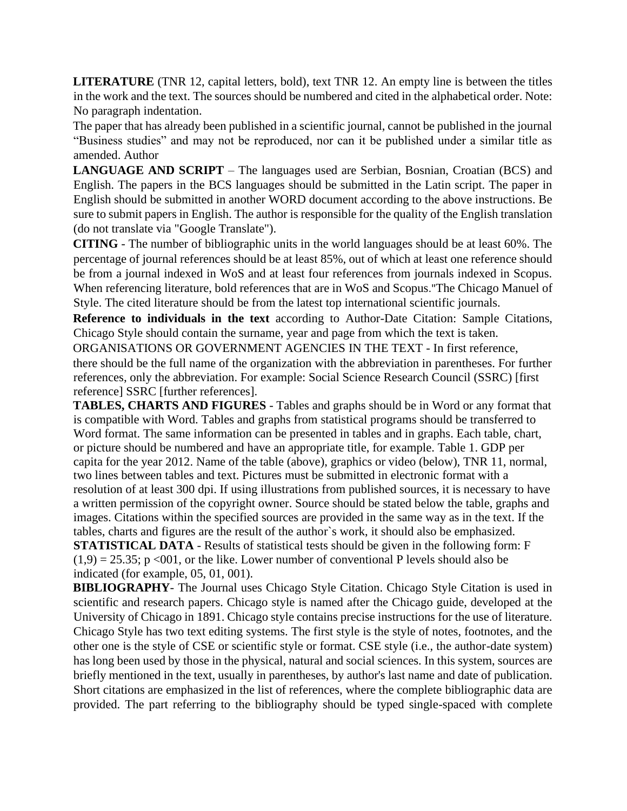**LITERATURE** (TNR 12, capital letters, bold), text TNR 12. An empty line is between the titles in the work and the text. The sources should be numbered and cited in the alphabetical order. Note: No paragraph indentation.

The paper that has already been published in a scientific journal, cannot be published in the journal "Business studies" and may not be reproduced, nor can it be published under a similar title as amended. Author

**LANGUAGE AND SCRIPT** – The languages used are Serbian, Bosnian, Croatian (BCS) and English. The papers in the BCS languages should be submitted in the Latin script. The paper in English should be submitted in another WORD document according to the above instructions. Be sure to submit papers in English. The author is responsible for the quality of the English translation (do not translate via "Google Translate").

**CITING** - The number of bibliographic units in the world languages should be at least 60%. The percentage of journal references should be at least 85%, out of which at least one reference should be from a journal indexed in WoS and at least four references from journals indexed in Scopus. When referencing literature, bold references that are in WoS and Scopus."The Chicago Manuel of Style. The cited literature should be from the latest top international scientific journals.

**Reference to individuals in the text** according to Author-Date Citation: Sample Citations, Chicago Style should contain the surname, year and page from which the text is taken.

ORGANISATIONS OR GOVERNMENT AGENCIES IN THE TEXT - In first reference, there should be the full name of the organization with the abbreviation in parentheses. For further references, only the abbreviation. For example: Social Science Research Council (SSRC) [first reference] SSRC [further references].

**TABLES, CHARTS AND FIGURES** - Tables and graphs should be in Word or any format that is compatible with Word. Tables and graphs from statistical programs should be transferred to Word format. The same information can be presented in tables and in graphs. Each table, chart, or picture should be numbered and have an appropriate title, for example. Table 1. GDP per capita for the year 2012. Name of the table (above), graphics or video (below), TNR 11, normal, two lines between tables and text. Pictures must be submitted in electronic format with a resolution of at least 300 dpi. If using illustrations from published sources, it is necessary to have a written permission of the copyright owner. Source should be stated below the table, graphs and images. Citations within the specified sources are provided in the same way as in the text. If the tables, charts and figures are the result of the author`s work, it should also be emphasized. **STATISTICAL DATA** - Results of statistical tests should be given in the following form: F  $(1,9) = 25.35$ ; p <001, or the like. Lower number of conventional P levels should also be indicated (for example, 05, 01, 001).

**BIBLIOGRAPHY**- The Journal uses Chicago Style Citation. Chicago Style Citation is used in scientific and research papers. Chicago style is named after the Chicago guide, developed at the University of Chicago in 1891. Chicago style contains precise instructions for the use of literature. Chicago Style has two text editing systems. The first style is the style of notes, footnotes, and the other one is the style of CSE or scientific style or format. CSE style (i.e., the author-date system) has long been used by those in the physical, natural and social sciences. In this system, sources are briefly mentioned in the text, usually in parentheses, by author's last name and date of publication. Short citations are emphasized in the list of references, where the complete bibliographic data are provided. The part referring to the bibliography should be typed single-spaced with complete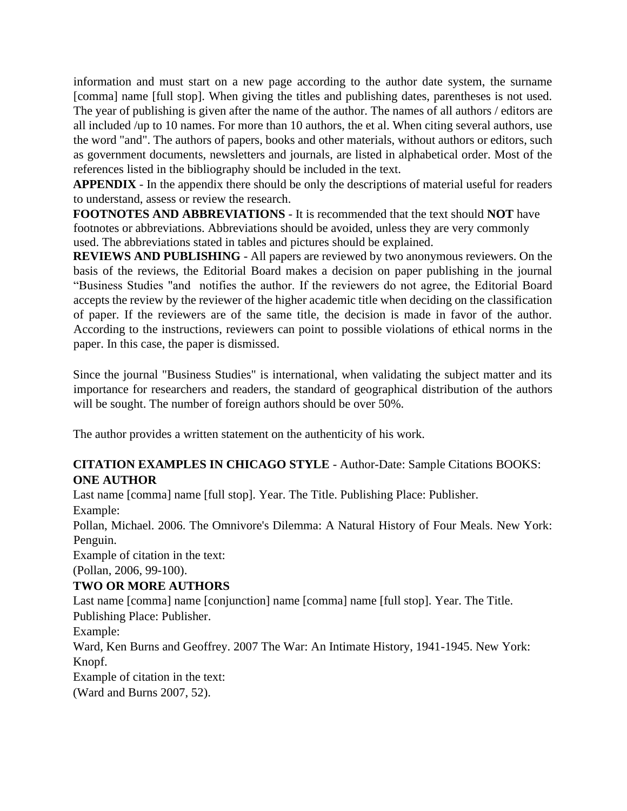information and must start on a new page according to the author date system, the surname [comma] name [full stop]. When giving the titles and publishing dates, parentheses is not used. The year of publishing is given after the name of the author. The names of all authors / editors are all included /up to 10 names. For more than 10 authors, the et al. When citing several authors, use the word "and". The authors of papers, books and other materials, without authors or editors, such as government documents, newsletters and journals, are listed in alphabetical order. Most of the references listed in the bibliography should be included in the text.

**APPENDIX** - In the appendix there should be only the descriptions of material useful for readers to understand, assess or review the research.

**FOOTNOTES AND ABBREVIATIONS** - It is recommended that the text should **NOT** have footnotes or abbreviations. Abbreviations should be avoided, unless they are very commonly used. The abbreviations stated in tables and pictures should be explained.

**REVIEWS AND PUBLISHING** - All papers are reviewed by two anonymous reviewers. On the basis of the reviews, the Editorial Board makes a decision on paper publishing in the journal "Business Studies "and notifies the author. If the reviewers do not agree, the Editorial Board accepts the review by the reviewer of the higher academic title when deciding on the classification of paper. If the reviewers are of the same title, the decision is made in favor of the author. According to the instructions, reviewers can point to possible violations of ethical norms in the paper. In this case, the paper is dismissed.

Since the journal "Business Studies" is international, when validating the subject matter and its importance for researchers and readers, the standard of geographical distribution of the authors will be sought. The number of foreign authors should be over 50%.

The author provides a written statement on the authenticity of his work.

#### **CITATION EXAMPLES IN CHICAGO STYLE** - Author-Date: Sample Citations BOOKS: **ONE AUTHOR**

Last name [comma] name [full stop]. Year. The Title. Publishing Place: Publisher. Example:

Pollan, Michael. 2006. The Omnivore's Dilemma: A Natural History of Four Meals. New York: Penguin.

Example of citation in the text:

(Pollan, 2006, 99-100).

## **TWO OR MORE AUTHORS**

Last name [comma] name [conjunction] name [comma] name [full stop]. Year. The Title. Publishing Place: Publisher.

Example:

Ward, Ken Burns and Geoffrey. 2007 The War: An Intimate History, 1941-1945. New York: Knopf.

Example of citation in the text:

(Ward and Burns 2007, 52).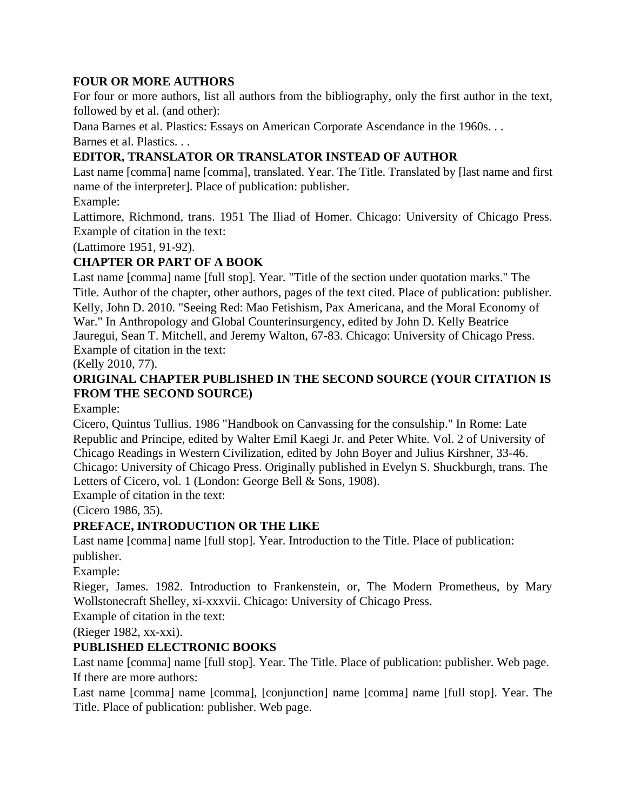#### **FOUR OR MORE AUTHORS**

For four or more authors, list all authors from the bibliography, only the first author in the text, followed by et al. (and other):

Dana Barnes et al. Plastics: Essays on American Corporate Ascendance in the 1960s. . .

Barnes et al. Plastics. . .

## **EDITOR, TRANSLATOR OR TRANSLATOR INSTEAD OF AUTHOR**

Last name [comma] name [comma], translated. Year. The Title. Translated by [last name and first name of the interpreter]. Place of publication: publisher.

#### Example:

Lattimore, Richmond, trans. 1951 The Iliad of Homer. Chicago: University of Chicago Press. Example of citation in the text:

(Lattimore 1951, 91-92).

# **CHAPTER OR PART OF A BOOK**

Last name [comma] name [full stop]. Year. "Title of the section under quotation marks." The Title. Author of the chapter, other authors, pages of the text cited. Place of publication: publisher. Kelly, John D. 2010. "Seeing Red: Mao Fetishism, Pax Americana, and the Moral Economy of War." In Anthropology and Global Counterinsurgency, edited by John D. Kelly Beatrice Jauregui, Sean T. Mitchell, and Jeremy Walton, 67-83. Chicago: University of Chicago Press. Example of citation in the text:

(Kelly 2010, 77).

## **ORIGINAL CHAPTER PUBLISHED IN THE SECOND SOURCE (YOUR CITATION IS FROM THE SECOND SOURCE)**

Example:

Cicero, Quintus Tullius. 1986 "Handbook on Canvassing for the consulship." In Rome: Late Republic and Principe, edited by Walter Emil Kaegi Jr. and Peter White. Vol. 2 of University of Chicago Readings in Western Civilization, edited by John Boyer and Julius Kirshner, 33-46. Chicago: University of Chicago Press. Originally published in Evelyn S. Shuckburgh, trans. The Letters of Cicero, vol. 1 (London: George Bell & Sons, 1908).

Example of citation in the text:

(Cicero 1986, 35).

## **PREFACE, INTRODUCTION OR THE LIKE**

Last name [comma] name [full stop]. Year. Introduction to the Title. Place of publication: publisher.

Example:

Rieger, James. 1982. Introduction to Frankenstein, or, The Modern Prometheus, by Mary Wollstonecraft Shelley, xi-xxxvii. Chicago: University of Chicago Press.

Example of citation in the text:

(Rieger 1982, xx-xxi).

## **PUBLISHED ELECTRONIC BOOKS**

Last name [comma] name [full stop]. Year. The Title. Place of publication: publisher. Web page. If there are more authors:

Last name [comma] name [comma], [conjunction] name [comma] name [full stop]. Year. The Title. Place of publication: publisher. Web page.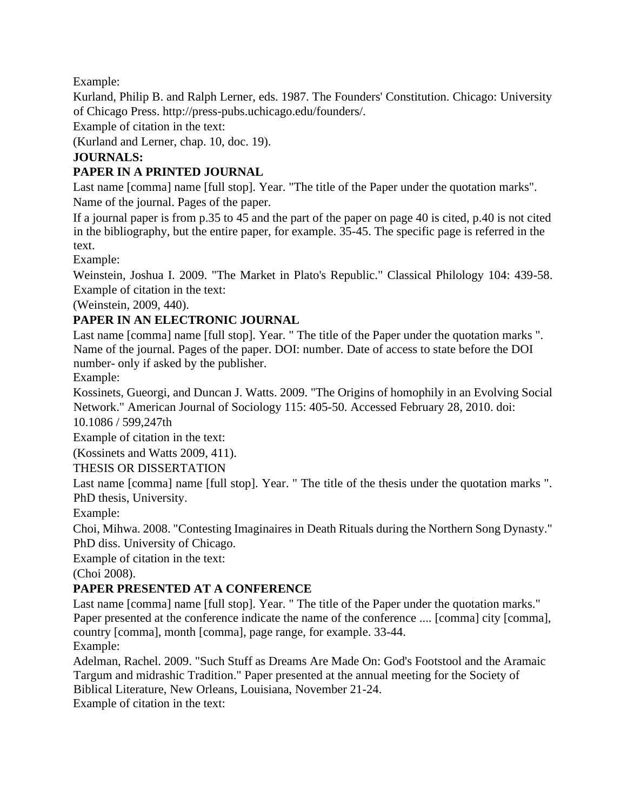Example:

Kurland, Philip B. and Ralph Lerner, eds. 1987. The Founders' Constitution. Chicago: University of Chicago Press. http://press-pubs.uchicago.edu/founders/.

Example of citation in the text:

(Kurland and Lerner, chap. 10, doc. 19).

#### **JOURNALS:**

## **PAPER IN A PRINTED JOURNAL**

Last name [comma] name [full stop]. Year. "The title of the Paper under the quotation marks". Name of the journal. Pages of the paper.

If a journal paper is from p.35 to 45 and the part of the paper on page 40 is cited, p.40 is not cited in the bibliography, but the entire paper, for example. 35-45. The specific page is referred in the text.

Example:

Weinstein, Joshua I. 2009. "The Market in Plato's Republic." Classical Philology 104: 439-58. Example of citation in the text:

(Weinstein, 2009, 440).

## **PAPER IN AN ELECTRONIC JOURNAL**

Last name [comma] name [full stop]. Year. " The title of the Paper under the quotation marks ". Name of the journal. Pages of the paper. DOI: number. Date of access to state before the DOI number- only if asked by the publisher.

Example:

Kossinets, Gueorgi, and Duncan J. Watts. 2009. "The Origins of homophily in an Evolving Social Network." American Journal of Sociology 115: 405-50. Accessed February 28, 2010. doi:

10.1086 / 599,247th

Example of citation in the text:

(Kossinets and Watts 2009, 411).

THESIS OR DISSERTATION

Last name [comma] name [full stop]. Year. " The title of the thesis under the quotation marks ". PhD thesis, University.

Example:

Choi, Mihwa. 2008. "Contesting Imaginaires in Death Rituals during the Northern Song Dynasty." PhD diss. University of Chicago.

Example of citation in the text:

(Choi 2008).

## **PAPER PRESENTED AT A CONFERENCE**

Last name [comma] name [full stop]. Year. " The title of the Paper under the quotation marks." Paper presented at the conference indicate the name of the conference .... [comma] city [comma], country [comma], month [comma], page range, for example. 33-44. Example:

Adelman, Rachel. 2009. "Such Stuff as Dreams Are Made On: God's Footstool and the Aramaic Targum and midrashic Tradition." Paper presented at the annual meeting for the Society of Biblical Literature, New Orleans, Louisiana, November 21-24.

Example of citation in the text: